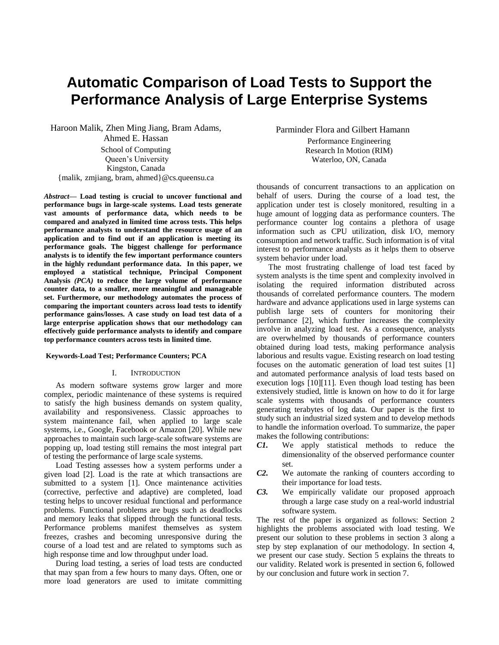# **Automatic Comparison of Load Tests to Support the Performance Analysis of Large Enterprise Systems**

Haroon Malik, Zhen Ming Jiang, Bram Adams, Ahmed E. Hassan School of Computing Queen"s University Kingston, Canada {malik, zmjiang, bram, ahmed}@cs.queensu.ca

*Abstract***— Load testing is crucial to uncover functional and performance bugs in large-scale systems. Load tests generate vast amounts of performance data, which needs to be compared and analyzed in limited time across tests. This helps performance analysts to understand the resource usage of an application and to find out if an application is meeting its performance goals. The biggest challenge for performance analysts is to identify the few important performance counters in the highly redundant performance data. In this paper, we employed a statistical technique, Principal Component Analysis** *(PCA)* **to reduce the large volume of performance counter data, to a smaller, more meaningful and manageable set. Furthermore, our methodology automates the process of comparing the important counters across load tests to identify performance gains/losses. A case study on load test data of a large enterprise application shows that our methodology can effectively guide performance analysts to identify and compare top performance counters across tests in limited time.**

## **Keywords-Load Test; Performance Counters; PCA**

#### I. INTRODUCTION

As modern software systems grow larger and more complex, periodic maintenance of these systems is required to satisfy the high business demands on system quality, availability and responsiveness. Classic approaches to system maintenance fail, when applied to large scale systems, i.e., Google, Facebook or Amazon [\[20\].](#page-9-0) While new approaches to maintain such large-scale software systems are popping up, load testing still remains the most integral part of testing the performance of large scale systems.

Load Testing assesses how a system performs under a given load [\[2\].](#page-8-0) Load is the rate at which transactions are submitted to a system [\[1\].](#page-8-1) Once maintenance activities (corrective, perfective and adaptive) are completed, load testing helps to uncover residual functional and performance problems. Functional problems are bugs such as deadlocks and memory leaks that slipped through the functional tests. Performance problems manifest themselves as system freezes, crashes and becoming unresponsive during the course of a load test and are related to symptoms such as high response time and low throughput under load.

During load testing, a series of load tests are conducted that may span from a few hours to many days. Often, one or more load generators are used to imitate committing

Parminder Flora and Gilbert Hamann Performance Engineering Research In Motion (RIM) Waterloo, ON, Canada

thousands of concurrent transactions to an application on behalf of users. During the course of a load test, the application under test is closely monitored, resulting in a huge amount of logging data as performance counters. The performance counter log contains a plethora of usage information such as CPU utilization, disk I/O, memory consumption and network traffic. Such information is of vital interest to performance analysts as it helps them to observe system behavior under load.

The most frustrating challenge of load test faced by system analysts is the time spent and complexity involved in isolating the required information distributed across thousands of correlated performance counters. The modern hardware and advance applications used in large systems can publish large sets of counters for monitoring their performance [2], which further increases the complexity involve in analyzing load test. As a consequence, analysts are overwhelmed by thousands of performance counters obtained during load tests, making performance analysis laborious and results vague. Existing research on load testing focuses on the automatic generation of load test suites [\[1\]](#page-8-1) and automated performance analysis of load tests based on execution logs [\[10\]\[11\].](#page-9-1) Even though load testing has been extensively studied, little is known on how to do it for large scale systems with thousands of performance counters generating terabytes of log data. Our paper is the first to study such an industrial sized system and to develop methods to handle the information overload. To summarize, the paper makes the following contributions:

- *C1.* We apply statistical methods to reduce the dimensionality of the observed performance counter set.
- *C2.* We automate the ranking of counters according to their importance for load tests.
- *C3.* We empirically validate our proposed approach through a large case study on a real-world industrial software system.

The rest of the paper is organized as follows: Section 2 highlights the problems associated with load testing. We present our solution to these problems in section 3 along a step by step explanation of our methodology. In section 4, we present our case study. Section 5 explains the threats to our validity. Related work is presented in section 6, followed by our conclusion and future work in section 7.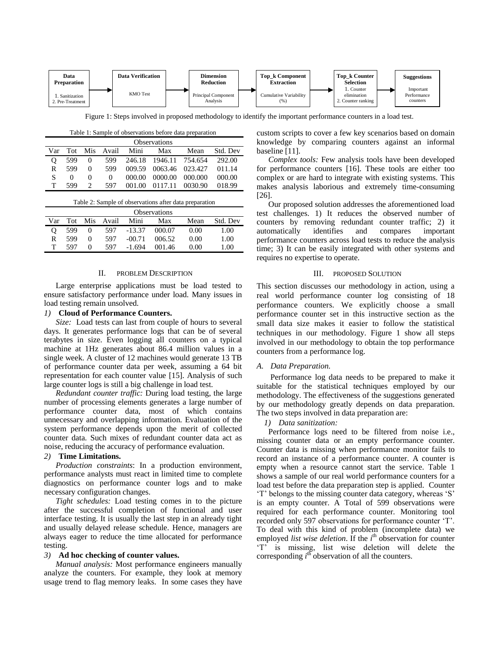

Figure 1: Steps involved in proposed methodology to identify the important performance counters in a load test.

<span id="page-1-1"></span><span id="page-1-0"></span>

| Table 1: Sample of observations before data preparation |                                                        |                             |          |          |         |         |        |  |  |  |
|---------------------------------------------------------|--------------------------------------------------------|-----------------------------|----------|----------|---------|---------|--------|--|--|--|
| <b>Observations</b>                                     |                                                        |                             |          |          |         |         |        |  |  |  |
| Var                                                     | Tot                                                    | Mis                         | Std. Dev |          |         |         |        |  |  |  |
| Q                                                       | 599                                                    | $\Omega$                    | 599      | 246.18   | 1946.11 | 754.654 | 292.00 |  |  |  |
| R                                                       | 599                                                    | $\Omega$                    | 599      | 009.59   | 0063.46 | 023.427 | 011.14 |  |  |  |
| S                                                       | 0                                                      | 0                           | 0        | 000.00   | 0000.00 | 000.000 | 000.00 |  |  |  |
| т                                                       | 599                                                    | $\mathcal{D}_{\mathcal{L}}$ | 597      | 001.00   | 0117.11 | 0030.90 | 018.99 |  |  |  |
|                                                         | Table 2: Sample of observations after data preparation |                             |          |          |         |         |        |  |  |  |
| <b>Observations</b>                                     |                                                        |                             |          |          |         |         |        |  |  |  |
| Var                                                     | Mis<br>Mini<br>Std. Dev<br>Tot<br>Avail<br>Max<br>Mean |                             |          |          |         |         |        |  |  |  |
|                                                         |                                                        |                             |          |          |         |         |        |  |  |  |
| Q                                                       | 599                                                    | $\Omega$                    | 597      | $-13.37$ | 000.07  | 0.00    | 1.00   |  |  |  |
| R                                                       | 599                                                    | 0                           | 597      | $-00.71$ | 006.52  | 0.00    | 1.00   |  |  |  |
| T                                                       | 597                                                    | 0                           | 597      | $-1.694$ | 001.46  | 0.00    | 1.00   |  |  |  |

#### II. PROBLEM DESCRIPTION

Large enterprise applications must be load tested to ensure satisfactory performance under load. Many issues in load testing remain unsolved.

## *1)* **Cloud of Performance Counters.**

*Size:* Load tests can last from couple of hours to several days. It generates performance logs that can be of several terabytes in size. Even logging all counters on a typical machine at 1Hz generates about 86.4 million values in a single week. A cluster of 12 machines would generate 13 TB of performance counter data per week, assuming a 64 bit representation for each counter value [\[15\].](#page-9-2) Analysis of such large counter logs is still a big challenge in load test.

*Redundant counter traffic:* During load testing, the large number of processing elements generates a large number of performance counter data, most of which contains unnecessary and overlapping information. Evaluation of the system performance depends upon the merit of collected counter data. Such mixes of redundant counter data act as noise, reducing the accuracy of performance evaluation.

# *2)* **Time Limitations.**

*Production constraints*: In a production environment, performance analysts must react in limited time to complete diagnostics on performance counter logs and to make necessary configuration changes.

*Tight schedules:* Load testing comes in to the picture after the successful completion of functional and user interface testing. It is usually the last step in an already tight and usually delayed release schedule. Hence, managers are always eager to reduce the time allocated for performance testing.

## *3)* **Ad hoc checking of counter values.**

*Manual analysis:* Most performance engineers manually analyze the counters. For example, they look at memory usage trend to flag memory leaks. In some cases they have

custom scripts to cover a few key scenarios based on domain knowledge by comparing counters against an informal baseline [\[11\].](#page-9-3)

*Complex tools:* Few analysis tools have been developed for performance counters [\[16\].](#page-9-4) These tools are either too complex or are hard to integrate with existing systems. This makes analysis laborious and extremely time-consuming [\[26\].](#page-9-5)

Our proposed solution addresses the aforementioned load test challenges. 1) It reduces the observed number of counters by removing redundant counter traffic; 2) it automatically identifies and compares important performance counters across load tests to reduce the analysis time; 3) It can be easily integrated with other systems and requires no expertise to operate.

#### III. PROPOSED SOLUTION

This section discusses our methodology in action, using a real world performance counter log consisting of 18 performance counters. We explicitly choose a small performance counter set in this instructive section as the small data size makes it easier to follow the statistical techniques in our methodology. Figure 1 show all steps involved in our methodology to obtain the top performance counters from a performance log.

#### *A. Data Preparation.*

Performance log data needs to be prepared to make it suitable for the statistical techniques employed by our methodology. The effectiveness of the suggestions generated by our methodology greatly depends on data preparation. The two steps involved in data preparation are:

*1) Data sanitization:*

Performance logs need to be filtered from noise i.e., missing counter data or an empty performance counter. Counter data is missing when performance monitor fails to record an instance of a performance counter. A counter is empty when a resource cannot start the service. Table 1 shows a sample of our real world performance counters for a load test before the data preparation step is applied. Counter "T" belongs to the missing counter data category, whereas "S" is an empty counter. A Total of 599 observations were required for each performance counter. Monitoring tool recorded only 597 observations for performance counter 'T'. To deal with this kind of problem (incomplete data) we employed *list wise deletion*. If the *i*<sup>th</sup> observation for counter 'T' is missing, list wise deletion will delete the corresponding  $i^{\text{th}}$  observation of all the counters.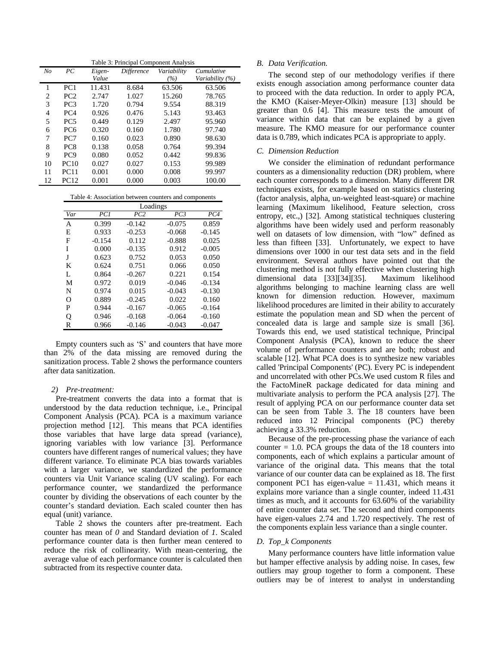| Table 3: Principal Component Analysis |                 |        |                   |             |                 |  |  |  |
|---------------------------------------|-----------------|--------|-------------------|-------------|-----------------|--|--|--|
| No                                    | PC              | Eigen- | <b>Difference</b> | Variability | Cumulative      |  |  |  |
|                                       |                 | Value  |                   | (%)         | Variability (%) |  |  |  |
| 1                                     | PC <sub>1</sub> | 11.431 | 8.684             | 63.506      | 63.506          |  |  |  |
| 2                                     | PC2             | 2.747  | 1.027             | 15.260      | 78.765          |  |  |  |
| 3                                     | PC <sub>3</sub> | 1.720  | 0.794             | 9.554       | 88.319          |  |  |  |
| 4                                     | PC <sub>4</sub> | 0.926  | 0.476             | 5.143       | 93.463          |  |  |  |
| 5                                     | PC <sub>5</sub> | 0.449  | 0.129             | 2.497       | 95.960          |  |  |  |
| 6                                     | PC <sub>6</sub> | 0.320  | 0.160             | 1.780       | 97.740          |  |  |  |
| 7                                     | PC7             | 0.160  | 0.023             | 0.890       | 98.630          |  |  |  |
| 8                                     | PC <sub>8</sub> | 0.138  | 0.058             | 0.764       | 99.394          |  |  |  |
| 9                                     | PC <sub>9</sub> | 0.080  | 0.052             | 0.442       | 99.836          |  |  |  |
| 10                                    | PC10            | 0.027  | 0.027             | 0.153       | 99.989          |  |  |  |
| 11                                    | <b>PC11</b>     | 0.001  | 0.000             | 0.008       | 99.997          |  |  |  |
| 12                                    | <b>PC12</b>     | 0.001  | 0.000             | 0.003       | 100.00          |  |  |  |

| Table 4: Association between counters and components |  |  |
|------------------------------------------------------|--|--|
|------------------------------------------------------|--|--|

<span id="page-2-0"></span>

|          | Loadings |                 |          |          |  |  |  |  |
|----------|----------|-----------------|----------|----------|--|--|--|--|
| Var      | PC1      | PC <sub>2</sub> | PC3      | PC4      |  |  |  |  |
| A        | 0.399    | $-0.142$        | $-0.075$ | 0.859    |  |  |  |  |
| E        | 0.933    | $-0.253$        | $-0.068$ | $-0.145$ |  |  |  |  |
| F        | $-0.154$ | 0.112           | $-0.888$ | 0.025    |  |  |  |  |
| I        | 0.000    | $-0.135$        | 0.912    | $-0.005$ |  |  |  |  |
| J        | 0.623    | 0.752           | 0.053    | 0.050    |  |  |  |  |
| K        | 0.624    | 0.751           | 0.066    | 0.050    |  |  |  |  |
| L        | 0.864    | $-0.267$        | 0.221    | 0.154    |  |  |  |  |
| M        | 0.972    | 0.019           | $-0.046$ | $-0.134$ |  |  |  |  |
| N        | 0.974    | 0.015           | $-0.043$ | $-0.130$ |  |  |  |  |
| $\Omega$ | 0.889    | $-0.245$        | 0.022    | 0.160    |  |  |  |  |
| P        | 0.944    | $-0.167$        | $-0.065$ | $-0.164$ |  |  |  |  |
| Q        | 0.946    | $-0.168$        | $-0.064$ | $-0.160$ |  |  |  |  |
| R        | 0.966    | -0.146          | $-0.043$ | $-0.047$ |  |  |  |  |

Empty counters such as "S" and counters that have more than 2% of the data missing are removed during the sanitization process[. Table 2](#page-1-0) shows the performance counters after data sanitization.

#### *2) Pre-treatment:*

Pre-treatment converts the data into a format that is understood by the data reduction technique, i.e., Principal Component Analysis (PCA). PCA is a maximum variance projection method [\[12\].](#page-9-6) This means that PCA identifies those variables that have large data spread (variance), ignoring variables with low variance [\[3\].](#page-8-2) Performance counters have different ranges of numerical values; they have different variance. To eliminate PCA bias towards variables with a larger variance, we standardized the performance counters via Unit Variance scaling (UV scaling). For each performance counter, we standardized the performance counter by dividing the observations of each counter by the counter"s standard deviation. Each scaled counter then has equal (unit) variance[.](#page-1-1)

[Table 2](#page-1-1) shows the counters after pre-treatment. Each counter has mean of *0* and Standard deviation of *1*. Scaled performance counter data is then further mean centered to reduce the risk of collinearity. With mean-centering, the average value of each performance counter is calculated then subtracted from its respective counter data.

#### *B. Data Verification.*

The second step of our methodology verifies if there exists enough association among performance counter data to proceed with the data reduction. In order to apply PCA, the KMO (Kaiser-Meyer-Olkin) measure [\[13\]](#page-9-7) should be greater than 0.6 [\[4\].](#page-8-3) This measure tests the amount of variance within data that can be explained by a given measure. The KMO measure for our performance counter data is 0.789, which indicates PCA is appropriate to apply.

#### *C. Dimension Reduction*

We consider the elimination of redundant performance counters as a dimensionality reduction (DR) problem, where each counter corresponds to a dimension. Many different DR techniques exists, for example based on statistics clustering (factor analysis, alpha, un-weighted least-square) or machine learning (Maximum likelihood, Feature selection, cross entropy, etc.,) [\[32\].](#page-9-8) Among statistical techniques clustering algorithms have been widely used and perform reasonably well on datasets of low dimension, with "low" defined as less than fifteen [\[33\].](#page-9-9) Unfortunately, we expect to have dimensions over 1000 in our test data sets and in the field environment. Several authors have pointed out that the clustering method is not fully effective when clustering high dimensional data [\[33\]\[34\]](#page-9-9)[\[35\].](#page-9-10) Maximum likelihood algorithms belonging to machine learning class are well known for dimension reduction. However, maximum likelihood procedures are limited in their ability to accurately estimate the population mean and SD when the percent of concealed data is large and sample size is small [\[36\].](#page-9-11) Towards this end, we used statistical technique, Principal Component Analysis (PCA), known to reduce the sheer volume of performance counters and are both; robust and scalable [\[12\].](#page-9-6) What PCA does is to synthesize new variables called 'Principal Components' (PC). Every PC is independent and uncorrelated with other PCs.We used custom R files and the FactoMineR package dedicated for data mining and multivariate analysis to perform the PCA analysis [\[27\].](#page-9-12) The result of applying PCA on our performance counter data set can be seen from Table 3. The 18 counters have been reduced into 12 Principal components (PC) thereby achieving a 33.3% reduction.

Because of the pre-processing phase the variance of each counter  $= 1.0$ . PCA groups the data of the 18 counters into components, each of which explains a particular amount of variance of the original data. This means that the total variance of our counter data can be explained as 18. The first component PC1 has eigen-value  $= 11.431$ , which means it explains more variance than a single counter, indeed 11.431 times as much, and it accounts for 63.60% of the variability of entire counter data set. The second and third components have eigen-values 2.74 and 1.720 respectively. The rest of the components explain less variance than a single counter.

#### *D. Top\_k Components*

Many performance counters have little information value but hamper effective analysis by adding noise. In cases, few outliers may group together to form a component. These outliers may be of interest to analyst in understanding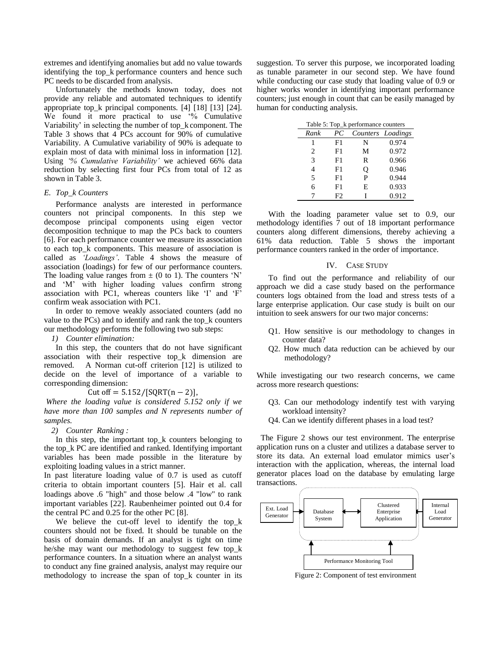extremes and identifying anomalies but add no value towards identifying the top\_k performance counters and hence such PC needs to be discarded from analysis.

Unfortunately the methods known today, does not provide any reliable and automated techniques to identify appropriate top\_k principal components. [\[4\]](#page-8-3) [\[18\]](#page-9-13) [\[13\]](#page-9-7) [\[24\].](#page-9-14) We found it more practical to use '% Cumulative Variability" in selecting the number of top\_k component. The Table 3 shows that 4 PCs account for 90% of cumulative Variability. A Cumulative variability of 90% is adequate to explain most of data with minimal loss in information [\[12\].](#page-9-6) Using *'% Cumulative Variability'* we achieved 66% data reduction by selecting first four PCs from total of 12 as shown in Table 3.

#### *E. Top\_k Counters*

Performance analysts are interested in performance counters not principal components. In this step we decompose principal components using eigen vector decomposition technique to map the PCs back to counters [\[6\].](#page-8-4) For each performance counter we measure its association to each top\_k components. This measure of association is called as *'Loadings'*. [Table 4](#page-2-0) shows the measure of association (loadings) for few of our performance counters. The loading value ranges from  $\pm$  (0 to 1). The counters 'N' and "M" with higher loading values confirm strong association with PC1, whereas counters like 'I' and 'F' confirm weak association with PC1.

In order to remove weakly associated counters (add no value to the PCs) and to identify and rank the top\_k counters our methodology performs the following two sub steps:

#### *1) Counter elimination:*

In this step, the counters that do not have significant association with their respective top\_k dimension are removed. A Norman cut-off criterion [\[12\]](#page-9-6) is utilized to decide on the level of importance of a variable to corresponding dimension:

## $Cut$  off = 5.152/[SQRT(n – 2)],

*Where the loading value is considered 5.152 only if we have more than 100 samples and N represents number of samples.*

#### *2) Counter Ranking :*

In this step, the important top\_k counters belonging to the top\_k PC are identified and ranked. Identifying important variables has been made possible in the literature by exploiting loading values in a strict manner.

In past literature loading value of 0.7 is used as cutoff criteria to obtain important counters [\[5\].](#page-8-5) Hair et al. call loadings above .6 "high" and those below .4 "low" to rank important variables [\[22\].](#page-9-15) Raubenheimer pointed out 0.4 for the central PC and 0.25 for the other PC [\[8\].](#page-9-16)

We believe the cut-off level to identify the top\_k counters should not be fixed. It should be tunable on the basis of domain demands. If an analyst is tight on time he/she may want our methodology to suggest few top\_k performance counters. In a situation where an analyst wants to conduct any fine grained analysis, analyst may require our methodology to increase the span of top\_k counter in its

suggestion. To server this purpose, we incorporated loading as tunable parameter in our second step. We have found while conducting our case study that loading value of 0.9 or higher works wonder in identifying important performance counters; just enough in count that can be easily managed by human for conducting analysis.

<span id="page-3-0"></span>

| Table 5: Top_k performance counters |    |   |                   |  |  |  |  |
|-------------------------------------|----|---|-------------------|--|--|--|--|
| Rank                                | РC |   | Counters Loadings |  |  |  |  |
| 1                                   | F1 | N | 0.974             |  |  |  |  |
| 2                                   | F1 | М | 0.972             |  |  |  |  |
| 3                                   | F1 | R | 0.966             |  |  |  |  |
| $\overline{4}$                      | F1 | O | 0.946             |  |  |  |  |
| 5                                   | F1 | P | 0.944             |  |  |  |  |
| 6                                   | F1 | E | 0.933             |  |  |  |  |
|                                     | F2 |   | 0.912             |  |  |  |  |

With the loading parameter value set to 0.9, our methodology identifies 7 out of 18 important performance counters along different dimensions, thereby achieving a 61% data reduction. [Table 5](#page-3-0) shows the important performance counters ranked in the order of importance.

#### IV. CASE STUDY

To find out the performance and reliability of our approach we did a case study based on the performance counters logs obtained from the load and stress tests of a large enterprise application. Our case study is built on our intuition to seek answers for our two major concerns:

- Q1. How sensitive is our methodology to changes in counter data?
- Q2. How much data reduction can be achieved by our methodology?

While investigating our two research concerns, we came across more research questions:

- Q3. Can our methodology indentify test with varying workload intensity?
- Q4. Can we identify different phases in a load test?

The [Figure 2](#page-3-1) shows our test environment. The enterprise application runs on a cluster and utilizes a database server to store its data. An external load emulator mimics user"s interaction with the application, whereas, the internal load generator places load on the database by emulating large transactions.



<span id="page-3-1"></span>Figure 2: Component of test environment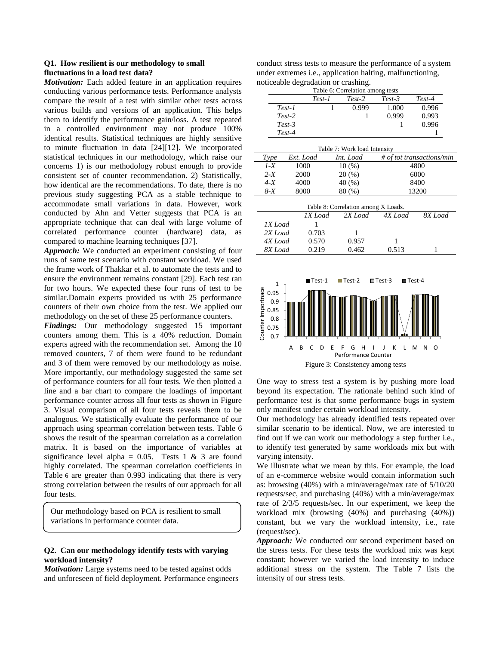# **Q1. How resilient is our methodology to small fluctuations in a load test data?**

*Motivation:* Each added feature in an application requires conducting various performance tests. Performance analysts compare the result of a test with similar other tests across various builds and versions of an application. This helps them to identify the performance gain/loss. A test repeated in a controlled environment may not produce 100% identical results. Statistical techniques are highly sensitive to minute fluctuation in data [\[24\]\[12\].](#page-9-14) We incorporated statistical techniques in our methodology, which raise our concerns 1) is our methodology robust enough to provide consistent set of counter recommendation. 2) Statistically, how identical are the recommendations. To date, there is no previous study suggesting PCA as a stable technique to accommodate small variations in data. However, work conducted by Ahn and Vetter suggests that PCA is an appropriate technique that can deal with large volume of correlated performance counter (hardware) data, as compared to machine learning techniques [\[37\].](#page-9-17)

*Approach:* We conducted an experiment consisting of four runs of same test scenario with constant workload. We used the frame work of Thakkar et al. to automate the tests and to ensure the environment remains constant [\[29\].](#page-9-18) Each test ran for two hours. We expected these four runs of test to be similar.Domain experts provided us with 25 performance counters of their own choice from the test. We applied our methodology on the set of these 25 performance counters.

*Findings:* Our methodology suggested 15 important counters among them. This is a 40% reduction. Domain experts agreed with the recommendation set. Among the 10 removed counters, 7 of them were found to be redundant and 3 of them were removed by our methodology as noise. More importantly, our methodology suggested the same set of performance counters for all four tests. We then plotted a line and a bar chart to compare the loadings of important performance counter across all four tests as shown in [Figure](#page-4-0)  [3.](#page-4-0) Visual comparison of all four tests reveals them to be analogous. We statistically evaluate the performance of our approach using spearman correlation between tests. [Table 6](#page-4-1) shows the result of the spearman correlation as a correlation matrix. It is based on the importance of variables at significance level alpha =  $0.05$ . Tests 1 & 3 are found highly correlated. The spearman correlation coefficients in [Table](#page-4-1) 6 are greater than 0.993 indicating that there is very strong correlation between the results of our approach for all four tests.

Our methodology based on PCA is resilient to small variations in performance counter data.

# **Q2. Can our methodology identify tests with varying workload intensity?**

*Motivation:* Large systems need to be tested against odds and unforeseen of field deployment. Performance engineers

conduct stress tests to measure the performance of a system under extremes i.e., application halting, malfunctioning, noticeable degradation or crashing.

<span id="page-4-1"></span>

| Table 6: Correlation among tests                                                                     |                                   |             |        |                                     |   |          |                             |  |
|------------------------------------------------------------------------------------------------------|-----------------------------------|-------------|--------|-------------------------------------|---|----------|-----------------------------|--|
|                                                                                                      |                                   | Test-1      |        | $Test-2$                            |   | $Test-3$ | Test-4                      |  |
|                                                                                                      | $Test-1$                          |             | 1      | 0.999                               |   | 1.000    | 0.996                       |  |
|                                                                                                      | Test-2                            |             |        |                                     | 1 | 0.999    | 0.993                       |  |
|                                                                                                      | $Test-3$                          |             |        |                                     |   | 1        | 0.996                       |  |
|                                                                                                      | Test-4                            |             |        |                                     |   |          | 1                           |  |
|                                                                                                      |                                   |             |        | Table 7: Work load Intensity        |   |          |                             |  |
| Type                                                                                                 |                                   | Ext. Load   |        | Int. Load                           |   |          | $#$ of tot transactions/min |  |
| $1-X$                                                                                                |                                   | 1000        |        | 10(%)                               |   |          | 4800                        |  |
| $2-X$                                                                                                |                                   | 2000        |        | 20(%)                               |   |          | 6000                        |  |
| $4-X$                                                                                                |                                   | 4000        |        | 40 (%)                              |   |          | 8400                        |  |
| $8 - X$                                                                                              |                                   | 8000        |        | 80 (%)                              |   |          | 13200                       |  |
|                                                                                                      |                                   |             |        | Table 8: Correlation among X Loads. |   |          |                             |  |
|                                                                                                      |                                   | IX Load     |        | 2X Load                             |   | 4X Load  | 8X Load                     |  |
| IX Load                                                                                              |                                   | 1           |        |                                     |   |          |                             |  |
| 2X Load                                                                                              |                                   | 0.703       |        | $\mathbf{1}$                        |   |          |                             |  |
| 4X Load                                                                                              |                                   | 0.570       |        | 0.957                               |   | 1        |                             |  |
| 8X Load                                                                                              |                                   | 0.219       |        | 0.462                               |   | 0.513    | 1                           |  |
| $\blacksquare$ Test-2<br>$Test-1$<br>$\blacksquare$ Test-3<br>■Test-4<br>$\mathbf{1}$<br>0.95<br>0.9 |                                   |             |        |                                     |   |          |                             |  |
| Counter Importnace<br>0.85<br>0.8<br>0.75<br>0.7                                                     |                                   |             |        |                                     |   |          |                             |  |
|                                                                                                      | A                                 | B<br>Ċ<br>D | E<br>F | G<br>н                              |   | K<br>L   | M<br>N<br>O                 |  |
|                                                                                                      | Performance Counter               |             |        |                                     |   |          |                             |  |
|                                                                                                      | Figure 3: Consistency among tests |             |        |                                     |   |          |                             |  |

<span id="page-4-0"></span>One way to stress test a system is by pushing more load beyond its expectation. The rationale behind such kind of performance test is that some performance bugs in system only manifest under certain workload intensity.

Our methodology has already identified tests repeated over similar scenario to be identical. Now, we are interested to find out if we can work our methodology a step further i.e., to identify test generated by same workloads mix but with varying intensity.

We illustrate what we mean by this. For example, the load of an e-commerce website would contain information such as: browsing (40%) with a min/average/max rate of 5/10/20 requests/sec, and purchasing (40%) with a min/average/max rate of 2/3/5 requests/sec. In our experiment, we keep the workload mix (browsing (40%) and purchasing (40%)) constant, but we vary the workload intensity, i.e., rate (request/sec).

*Approach:* We conducted our second experiment based on the stress tests. For these tests the workload mix was kept constant; however we varied the load intensity to induce additional stress on the system. The Table 7 lists the intensity of our stress tests.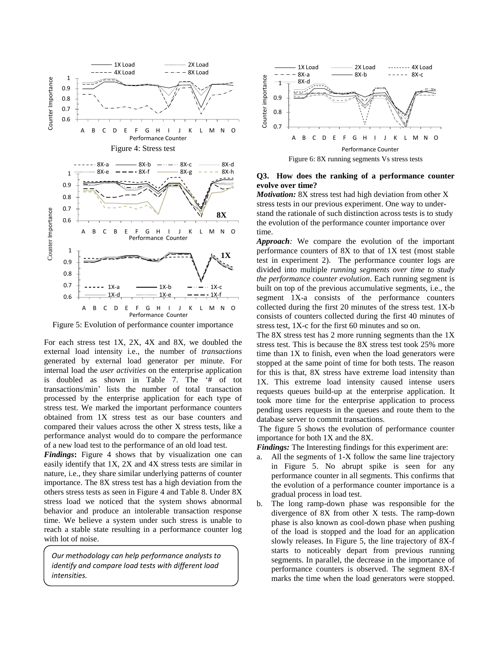<span id="page-5-0"></span>

Figure 5: Evolution of performance counter importance

For each stress test 1X, 2X, 4X and 8X, we doubled the external load intensity i.e., the number of *transactions* generated by external load generator per minute. For internal load the *user activities* on the enterprise application is doubled as shown in Table 7. The "# of tot transactions/min" lists the number of total transaction processed by the enterprise application for each type of stress test. We marked the important performance counters obtained from 1X stress test as our base counters and compared their values across the other X stress tests, like a performance analyst would do to compare the performance of a new load test to the performance of an old load test.

*Findings***:** [Figure 4](#page-5-0) shows that by visualization one can easily identify that 1X, 2X and 4X stress tests are similar in nature, i.e., they share similar underlying patterns of counter importance. The 8X stress test has a high deviation from the others stress tests as seen in [Figure 4](#page-5-0) and Table 8. Under 8X stress load we noticed that the system shows abnormal behavior and produce an intolerable transaction response time. We believe a system under such stress is unable to reach a stable state resulting in a performance counter log with lot of noise.

*Our methodology can help performance analysts to identify and compare load tests with different load intensities.*



## <span id="page-5-1"></span>**Q3. How does the ranking of a performance counter evolve over time?**

*Motivation:* 8X stress test had high deviation from other X stress tests in our previous experiment. One way to understand the rationale of such distinction across tests is to study the evolution of the performance counter importance over time.

*Approach:* We compare the evolution of the important performance counters of 8X to that of 1X test (most stable test in experiment 2). The performance counter logs are divided into multiple *running segments over time to study the performance counter evolution*. Each running segment is built on top of the previous accumulative segments, i.e., the segment 1X-a consists of the performance counters collected during the first 20 minutes of the stress test. 1X-b consists of counters collected during the first 40 minutes of stress test, 1X-c for the first 60 minutes and so on.

The 8X stress test has 2 more running segments than the 1X stress test. This is because the 8X stress test took 25% more time than  $1X$  to finish, even when the load generators were stopped at the same point of time for both tests. The reason for this is that, 8X stress have extreme load intensity than 1X. This extreme load intensity caused intense users requests queues build-up at the enterprise application. It took more time for the enterprise application to process pending users requests in the queues and route them to the database server to commit transactions.

The figure 5 shows the evolution of performance counter importance for both 1X and the 8X.

*Findings:* The Interesting findings for this experiment are:

- a. All the segments of 1-X follow the same line trajectory in Figure 5. No abrupt spike is seen for any performance counter in all segments. This confirms that the evolution of a performance counter importance is a gradual process in load test.
- b. The long ramp-down phase was responsible for the divergence of 8X from other X tests. The ramp-down phase is also known as cool-down phase when pushing of the load is stopped and the load for an application slowly releases. In Figure 5, the line trajectory of 8X-f starts to noticeably depart from previous running segments. In parallel, the decrease in the importance of performance counters is observed. The segment 8X-f marks the time when the load generators were stopped.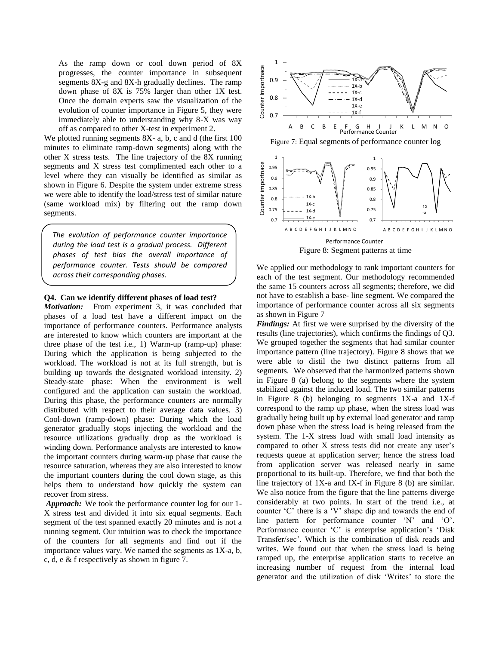As the ramp down or cool down period of 8X progresses, the counter importance in subsequent segments 8X-g and 8X-h gradually declines. The ramp down phase of 8X is 75% larger than other 1X test. Once the domain experts saw the visualization of the evolution of counter importance in Figure 5, they were immediately able to understanding why 8-X was way off as compared to other X-test in experiment 2.

We plotted running segments 8X- a, b, c and d (the first 100 minutes to eliminate ramp-down segments) along with the other X stress tests. The line trajectory of the 8X running segments and X stress test complimented each other to a level where they can visually be identified as similar as shown in [Figure 6.](#page-5-1) Despite the system under extreme stress we were able to identify the load/stress test of similar nature (same workload mix) by filtering out the ramp down segments.

*The evolution of performance counter importance during the load test is a gradual process. Different phases of test bias the overall importance of performance counter. Tests should be compared across their corresponding phases.* 

## **Q4. Can we identify different phases of load test?**

*Motivation:* From experiment 3, it was concluded that phases of a load test have a different impact on the importance of performance counters. Performance analysts are interested to know which counters are important at the three phase of the test i.e., 1) Warm-up (ramp-up) phase: During which the application is being subjected to the workload. The workload is not at its full strength, but is building up towards the designated workload intensity. 2) Steady-state phase: When the environment is well configured and the application can sustain the workload. During this phase, the performance counters are normally distributed with respect to their average data values. 3) Cool-down (ramp-down) phase: During which the load generator gradually stops injecting the workload and the resource utilizations gradually drop as the workload is winding down. Performance analysts are interested to know the important counters during warm-up phase that cause the resource saturation, whereas they are also interested to know the important counters during the cool down stage, as this helps them to understand how quickly the system can recover from stress.

*Approach:* We took the performance counter log for our 1- X stress test and divided it into six equal segments. Each segment of the test spanned exactly 20 minutes and is not a running segment. Our intuition was to check the importance of the counters for all segments and find out if the importance values vary. We named the segments as 1X-a, b, c, d, e & f respectively as shown in figure 7.

<span id="page-6-0"></span>

<span id="page-6-1"></span>We applied our methodology to rank important counters for each of the test segment. Our methodology recommended the same 15 counters across all segments; therefore, we did not have to establish a base- line segment. We compared the importance of performance counter across all six segments as shown i[n Figure 7](#page-6-0)

*Findings:* At first we were surprised by the diversity of the results (line trajectories), which confirms the findings of Q3. We grouped together the segments that had similar counter importance pattern (line trajectory). [Figure 8](#page-6-1) shows that we were able to distil the two distinct patterns from all segments. We observed that the harmonized patterns shown in [Figure 8](#page-6-1) (a) belong to the segments where the system stabilized against the induced load. The two similar patterns in [Figure 8](#page-6-1) (b) belonging to segments 1X-a and 1X-f correspond to the ramp up phase, when the stress load was gradually being built up by external load generator and ramp down phase when the stress load is being released from the system. The 1-X stress load with small load intensity as compared to other X stress tests did not create any user"s requests queue at application server; hence the stress load from application server was released nearly in same proportional to its built-up. Therefore, we find that both the line trajectory of 1X-a and IX-f in [Figure 8](#page-6-1) (b) are similar. We also notice from the figure that the line patterns diverge considerably at two points. In start of the trend i.e., at counter "C" there is a "V" shape dip and towards the end of line pattern for performance counter 'N' and 'O'. Performance counter 'C' is enterprise application's 'Disk Transfer/sec'. Which is the combination of disk reads and writes. We found out that when the stress load is being ramped up, the enterprise application starts to receive an increasing number of request from the internal load generator and the utilization of disk "Writes" to store the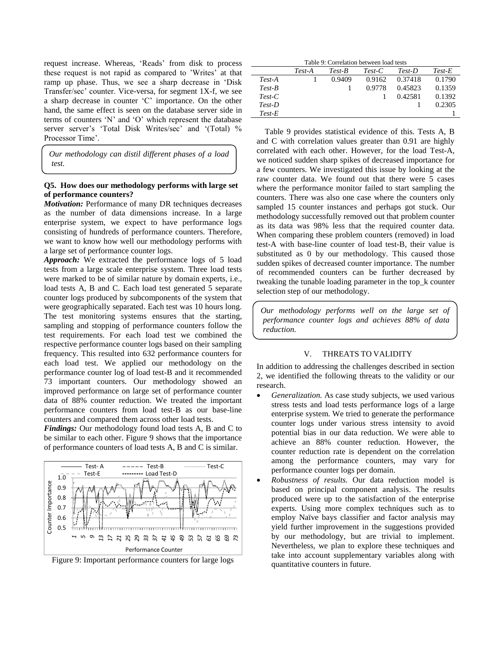request increase. Whereas, "Reads" from disk to process these request is not rapid as compared to "Writes" at that ramp up phase. Thus, we see a sharp decrease in "Disk Transfer/sec" counter. Vice-versa, for segment 1X-f, we see a sharp decrease in counter "C" importance. On the other hand, the same effect is seen on the database server side in terms of counters "N" and "O" which represent the database server server's 'Total Disk Writes/sec' and '(Total) % Processor Time'.

*Our methodology can distil different phases of a load test.*

## **Q5. How does our methodology performs with large set of performance counters?**

*Motivation:* Performance of many DR techniques decreases as the number of data dimensions increase. In a large enterprise system, we expect to have performance logs consisting of hundreds of performance counters. Therefore, we want to know how well our methodology performs with a large set of performance counter logs.

*Approach:* We extracted the performance logs of 5 load tests from a large scale enterprise system. Three load tests were marked to be of similar nature by domain experts, i.e., load tests A, B and C. Each load test generated 5 separate counter logs produced by subcomponents of the system that were geographically separated. Each test was 10 hours long. The test monitoring systems ensures that the starting, sampling and stopping of performance counters follow the test requirements. For each load test we combined the respective performance counter logs based on their sampling frequency. This resulted into 632 performance counters for each load test. We applied our methodology on the performance counter log of load test-B and it recommended 73 important counters. Our methodology showed an improved performance on large set of performance counter data of 88% counter reduction. We treated the important performance counters from load test-B as our base-line counters and compared them across other load tests.

*Findings:* Our methodology found load tests A, B and C to be similar to each other. [Figure 9](#page-7-0) shows that the importance of performance counters of load tests A, B and C is similar.



<span id="page-7-0"></span>Figure 9: Important performance counters for large logs

Table 9: Correlation between load tests

<span id="page-7-1"></span>

|          | Test-A | Test-B | $Test-C$ | Test-D  | $Test-E$ |  |  |  |
|----------|--------|--------|----------|---------|----------|--|--|--|
| Test-A   |        | 0.9409 | 0.9162   | 0.37418 | 0.1790   |  |  |  |
| $Test-B$ |        |        | 0.9778   | 0.45823 | 0.1359   |  |  |  |
| $Test-C$ |        |        |          | 0.42581 | 0.1392   |  |  |  |
| Test-D   |        |        |          |         | 0.2305   |  |  |  |
| $Test-E$ |        |        |          |         |          |  |  |  |

 [Table 9](#page-7-1) provides statistical evidence of this. Tests A, B and C with correlation values greater than 0.91 are highly correlated with each other. However, for the load Test-A, we noticed sudden sharp spikes of decreased importance for a few counters. We investigated this issue by looking at the raw counter data. We found out that there were 5 cases where the performance monitor failed to start sampling the counters. There was also one case where the counters only sampled 15 counter instances and perhaps got stuck. Our methodology successfully removed out that problem counter as its data was 98% less that the required counter data. When comparing these problem counters (removed) in load test-A with base-line counter of load test-B, their value is substituted as 0 by our methodology. This caused those sudden spikes of decreased counter importance. The number of recommended counters can be further decreased by tweaking the tunable loading parameter in the top\_k counter selection step of our methodology.

*Our methodology performs well on the large set of performance counter logs and achieves 88% of data reduction.* 

## V. THREATS TO VALIDITY

In addition to addressing the challenges described in section 2, we identified the following threats to the validity or our research.

- *Generalization.* As case study subjects, we used various stress tests and load tests performance logs of a large enterprise system. We tried to generate the performance counter logs under various stress intensity to avoid potential bias in our data reduction. We were able to achieve an 88% counter reduction. However, the counter reduction rate is dependent on the correlation among the performance counters, may vary for performance counter logs per domain.
- *Robustness of results.* Our data reduction model is based on principal component analysis. The results produced were up to the satisfaction of the enterprise experts. Using more complex techniques such as to employ Naïve bays classifier and factor analysis may yield further improvement in the suggestions provided by our methodology, but are trivial to implement. Nevertheless, we plan to explore these techniques and take into account supplementary variables along with quantitative counters in future.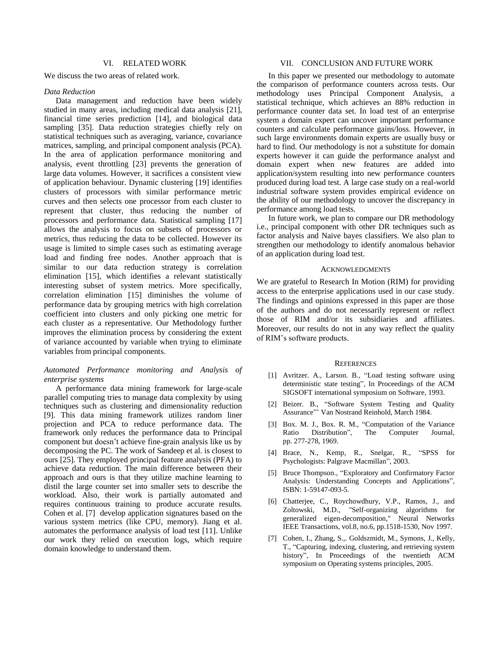## VI. RELATED WORK

We discuss the two areas of related work.

#### *Data Reduction*

Data management and reduction have been widely studied in many areas, including medical data analysis [\[21\],](#page-9-19) financial time series prediction [\[14\],](#page-9-20) and biological data sampling [35]. Data reduction strategies chiefly rely on statistical techniques such as averaging, variance, covariance matrices, sampling, and principal component analysis (PCA). In the area of application performance monitoring and analysis, event throttling [\[23\]](#page-9-21) prevents the generation of large data volumes. However, it sacrifices a consistent view of application behaviour. Dynamic clustering [\[19\]](#page-9-22) identifies clusters of processors with similar performance metric curves and then selects one processor from each cluster to represent that cluster, thus reducing the number of processors and performance data. Statistical sampling [\[17\]](#page-9-23) allows the analysis to focus on subsets of processors or metrics, thus reducing the data to be collected. However its usage is limited to simple cases such as estimating average load and finding free nodes. Another approach that is similar to our data reduction strategy is correlation elimination [\[15\],](#page-9-2) which identifies a relevant statistically interesting subset of system metrics. More specifically, correlation elimination [\[15\]](#page-9-2) diminishes the volume of performance data by grouping metrics with high correlation coefficient into clusters and only picking one metric for each cluster as a representative. Our Methodology further improves the elimination process by considering the extent of variance accounted by variable when trying to eliminate variables from principal components.

## *Automated Performance monitoring and Analysis of enterprise systems*

A performance data mining framework for large-scale parallel computing tries to manage data complexity by using techniques such as clustering and dimensionality reduction [\[9\].](#page-9-24) This data mining framework utilizes random liner projection and PCA to reduce performance data. The framework only reduces the performance data to Principal component but doesn"t achieve fine-grain analysis like us by decomposing the PC. The work of Sandeep et al. is closest to ours [\[25\].](#page-9-25) They employed principal feature analysis (PFA) to achieve data reduction. The main difference between their approach and ours is that they utilize machine learning to distil the large counter set into smaller sets to describe the workload. Also, their work is partially automated and requires continuous training to produce accurate results. Cohen et al. [\[7\]](#page-8-6) develop application signatures based on the various system metrics (like CPU, memory). Jiang et al. automates the performance analysis of load test [\[11\].](#page-9-3) Unlike our work they relied on execution logs, which require domain knowledge to understand them.

## VII. CONCLUSION AND FUTURE WORK

In this paper we presented our methodology to automate the comparison of performance counters across tests. Our methodology uses Principal Component Analysis, a statistical technique, which achieves an 88% reduction in performance counter data set. In load test of an enterprise system a domain expert can uncover important performance counters and calculate performance gains/loss. However, in such large environments domain experts are usually busy or hard to find. Our methodology is not a substitute for domain experts however it can guide the performance analyst and domain expert when new features are added into application/system resulting into new performance counters produced during load test. A large case study on a real-world industrial software system provides empirical evidence on the ability of our methodology to uncover the discrepancy in performance among load tests.

In future work, we plan to compare our DR methodology i.e., principal component with other DR techniques such as factor analysis and Naive bayes classifiers. We also plan to strengthen our methodology to identify anomalous behavior of an application during load test.

## ACKNOWLEDGMENTS

We are grateful to Research In Motion (RIM) for providing access to the enterprise applications used in our case study. The findings and opinions expressed in this paper are those of the authors and do not necessarily represent or reflect those of RIM and/or its subsidiaries and affiliates. Moreover, our results do not in any way reflect the quality of RIM"s software products.

#### **REFERENCES**

- <span id="page-8-1"></span>[1] Avritzer. A., Larson. B., "Load testing software using deterministic state testing", In Proceedings of the ACM SIGSOFT international symposium on Software, 1993.
- <span id="page-8-0"></span>[2] Beizer. B., "Software System Testing and Quality Assurance"" Van Nostrand Reinhold, March 1984.
- <span id="page-8-2"></span>[3] Box. M. J., Box. R. M., "Computation of the Variance Ratio Distribution", The Computer Journal, pp. 277-278, 1969.
- <span id="page-8-3"></span>[4] Brace, N., Kemp, R., Snelgar, R., "SPSS for Psychologists: Palgrave Macmillan", 2003.
- <span id="page-8-5"></span>[5] Bruce Thompson., "Exploratory and Confirmatory Factor Analysis: Understanding Concepts and Applications", ISBN: 1-59147-093-5.
- <span id="page-8-4"></span>[6] Chatterjee, C., Roychowdhury, V.P., Ramos, J., and Zoltowski, M.D., "Self-organizing algorithms for generalized eigen-decomposition," Neural Networks IEEE Transactions, vol.8, no.6, pp.1518-1530, Nov 1997.
- <span id="page-8-6"></span>[7] Cohen, I., Zhang, S.,. Goldszmidt, M., Symons, J., Kelly, T., "Capturing, indexing, clustering, and retrieving system history", In Proceedings of the twentieth ACM symposium on Operating systems principles, 2005.